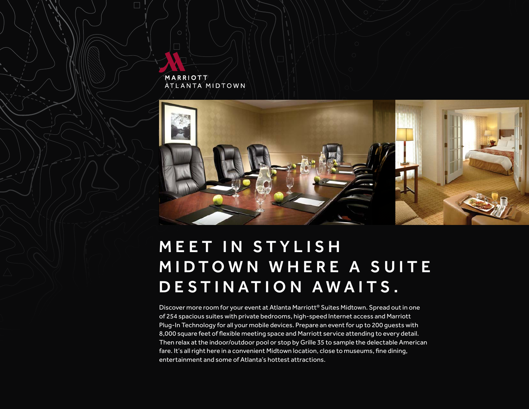



# **MEET IN STYLISH MIDTOWN WHERE A SUITE** D E STINATION AWAITS.

Discover more room for your event at Atlanta Marriott<sup>®</sup> Suites Midtown. Spread out in one of 254 spacious suites with private bedrooms, high-speed Internet access and Marriott Plug-In Technology for all your mobile devices. Prepare an event for up to 200 guests with 8,000 square feet of flexible meeting space and Marriott service attending to every detail. Then relax at the indoor/outdoor pool or stop by Grille 35 to sample the delectable American fare. It's all right here in a convenient Midtown location, close to museums, fine dining, entertainment and some of Atlanta's hottest attractions.